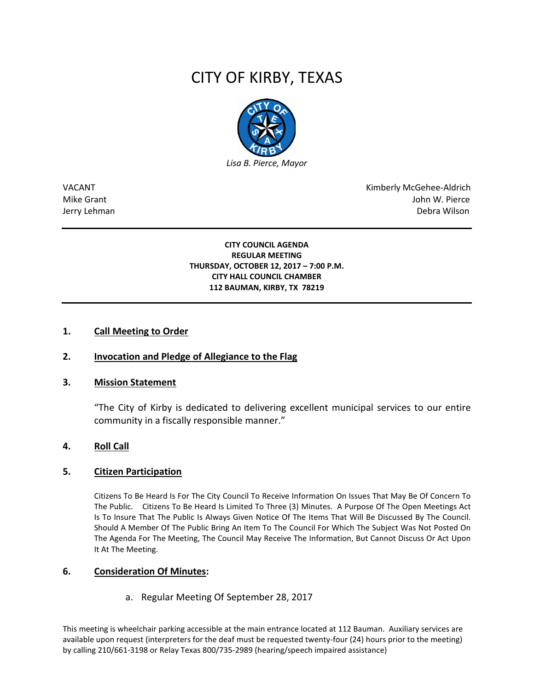# CITY OF KIRBY, TEXAS



VACANT Kimberly McGehee-Aldrich Mike Grant John W. Pierce Jerry Lehman Debra Wilson (2008) and the state of the state of the state of the state of the state of the state of the state of the state of the state of the state of the state of the state of the state of the state of the

#### **CITY COUNCIL AGENDA REGULAR MEETING THURSDAY, OCTOBER 12, 2017 – 7:00 P.M. CITY HALL COUNCIL CHAMBER 112 BAUMAN, KIRBY, TX 78219**

# **1. Call Meeting to Order**

# **2. Invocation and Pledge of Allegiance to the Flag**

#### **3. Mission Statement**

"The City of Kirby is dedicated to delivering excellent municipal services to our entire community in a fiscally responsible manner."

#### **4. Roll Call**

#### **5. Citizen Participation**

Citizens To Be Heard Is For The City Council To Receive Information On Issues That May Be Of Concern To The Public. Citizens To Be Heard Is Limited To Three (3) Minutes. A Purpose Of The Open Meetings Act Is To Insure That The Public Is Always Given Notice Of The Items That Will Be Discussed By The Council. Should A Member Of The Public Bring An Item To The Council For Which The Subject Was Not Posted On The Agenda For The Meeting, The Council May Receive The Information, But Cannot Discuss Or Act Upon It At The Meeting.

#### **6. Consideration Of Minutes:**

a. Regular Meeting Of September 28, 2017

This meeting is wheelchair parking accessible at the main entrance located at 112 Bauman. Auxiliary services are available upon request (interpreters for the deaf must be requested twenty-four (24) hours prior to the meeting) by calling 210/661-3198 or Relay Texas 800/735-2989 (hearing/speech impaired assistance)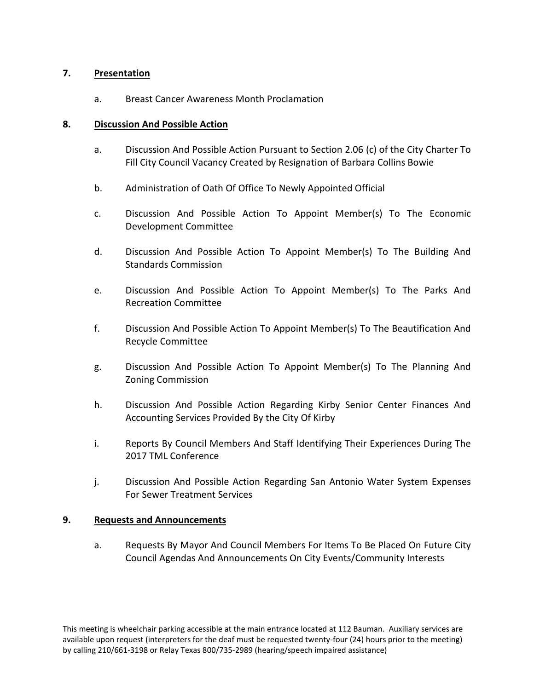# **7. Presentation**

a. Breast Cancer Awareness Month Proclamation

### **8. Discussion And Possible Action**

- a. Discussion And Possible Action Pursuant to Section 2.06 (c) of the City Charter To Fill City Council Vacancy Created by Resignation of Barbara Collins Bowie
- b. Administration of Oath Of Office To Newly Appointed Official
- c. Discussion And Possible Action To Appoint Member(s) To The Economic Development Committee
- d. Discussion And Possible Action To Appoint Member(s) To The Building And Standards Commission
- e. Discussion And Possible Action To Appoint Member(s) To The Parks And Recreation Committee
- f. Discussion And Possible Action To Appoint Member(s) To The Beautification And Recycle Committee
- g. Discussion And Possible Action To Appoint Member(s) To The Planning And Zoning Commission
- h. Discussion And Possible Action Regarding Kirby Senior Center Finances And Accounting Services Provided By the City Of Kirby
- i. Reports By Council Members And Staff Identifying Their Experiences During The 2017 TML Conference
- j. Discussion And Possible Action Regarding San Antonio Water System Expenses For Sewer Treatment Services

#### **9. Requests and Announcements**

a. Requests By Mayor And Council Members For Items To Be Placed On Future City Council Agendas And Announcements On City Events/Community Interests

This meeting is wheelchair parking accessible at the main entrance located at 112 Bauman. Auxiliary services are available upon request (interpreters for the deaf must be requested twenty-four (24) hours prior to the meeting) by calling 210/661-3198 or Relay Texas 800/735-2989 (hearing/speech impaired assistance)